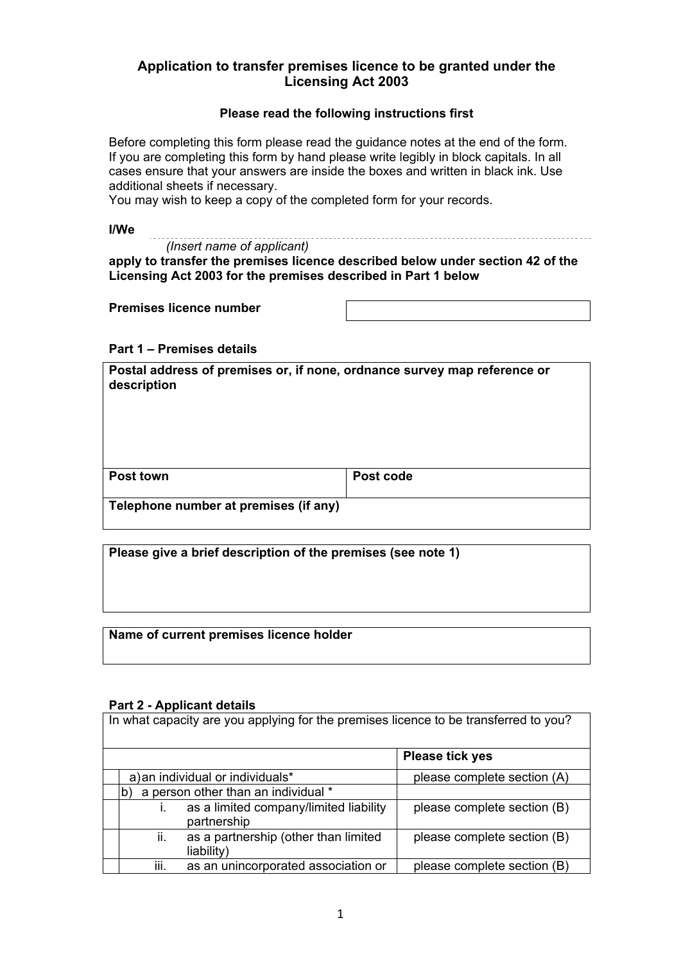# **Application to transfer premises licence to be granted under the Licensing Act 2003**

#### **Please read the following instructions first**

Before completing this form please read the guidance notes at the end of the form. If you are completing this form by hand please write legibly in block capitals. In all cases ensure that your answers are inside the boxes and written in black ink. Use additional sheets if necessary.

You may wish to keep a copy of the completed form for your records.

**I/We** 

*(Insert name of applicant)* 

**apply to transfer the premises licence described below under section 42 of the Licensing Act 2003 for the premises described in Part 1 below** 

**Premises licence number** 

**Part 1 – Premises details** 

**Postal address of premises or, if none, ordnance survey map reference or description** 

| <b>Post town</b>                       | Post code |
|----------------------------------------|-----------|
| . Talankana mumban at nuandaan 15 amil |           |
|                                        |           |

**Telephone number at premises (if any)** 

**Please give a brief description of the premises (see note 1)** 

**Name of current premises licence holder** 

#### **Part 2 - Applicant details**

| In what capacity are you applying for the premises licence to be transferred to you? |                             |  |  |  |  |
|--------------------------------------------------------------------------------------|-----------------------------|--|--|--|--|
|                                                                                      | <b>Please tick yes</b>      |  |  |  |  |
| a) an individual or individuals*                                                     | please complete section (A) |  |  |  |  |
| a person other than an individual *                                                  |                             |  |  |  |  |
| as a limited company/limited liability<br>partnership                                | please complete section (B) |  |  |  |  |
| ii.<br>as a partnership (other than limited<br>liability)                            | please complete section (B) |  |  |  |  |
| iii.<br>as an unincorporated association or                                          | please complete section (B) |  |  |  |  |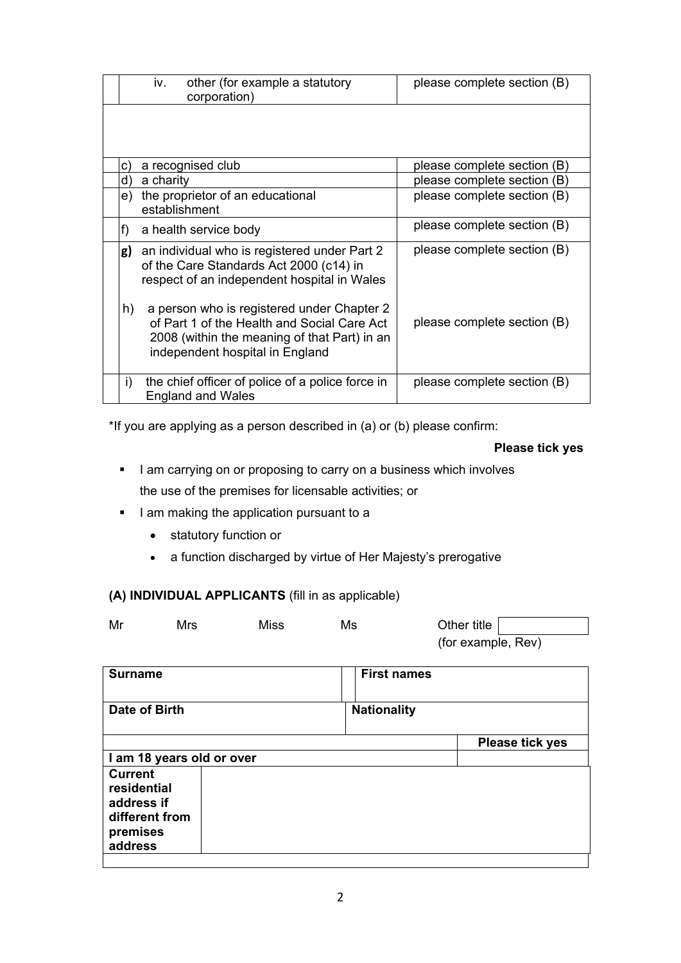|    | iv.           | other (for example a statutory<br>corporation)                                                                                                                               | please complete section (B) |
|----|---------------|------------------------------------------------------------------------------------------------------------------------------------------------------------------------------|-----------------------------|
|    |               |                                                                                                                                                                              |                             |
| C) |               | a recognised club                                                                                                                                                            | please complete section (B) |
| d) | a charity     |                                                                                                                                                                              | please complete section (B) |
| e) | establishment | the proprietor of an educational                                                                                                                                             | please complete section (B) |
| f) |               | a health service body                                                                                                                                                        | please complete section (B) |
| g) |               | an individual who is registered under Part 2<br>of the Care Standards Act 2000 (c14) in<br>respect of an independent hospital in Wales                                       | please complete section (B) |
| h) |               | a person who is registered under Chapter 2<br>of Part 1 of the Health and Social Care Act<br>2008 (within the meaning of that Part) in an<br>independent hospital in England | please complete section (B) |
| i) |               | the chief officer of police of a police force in<br><b>England and Wales</b>                                                                                                 | please complete section (B) |

\*If you are applying as a person described in (a) or (b) please confirm:

**Please tick yes** 

- I am carrying on or proposing to carry on a business which involves the use of the premises for licensable activities; or
- I am making the application pursuant to a
	- statutory function or
	- a function discharged by virtue of Her Majesty's prerogative

# **(A) INDIVIDUAL APPLICANTS** (fill in as applicable)

| Mr | Mrs | Miss | Ms | Other title        |
|----|-----|------|----|--------------------|
|    |     |      |    | (for example, Rev) |

| <b>Surname</b>                                                                       | <b>First names</b> |                        |
|--------------------------------------------------------------------------------------|--------------------|------------------------|
| Date of Birth                                                                        | <b>Nationality</b> |                        |
|                                                                                      |                    | <b>Please tick yes</b> |
| I am 18 years old or over                                                            |                    |                        |
| <b>Current</b><br>residential<br>address if<br>different from<br>premises<br>address |                    |                        |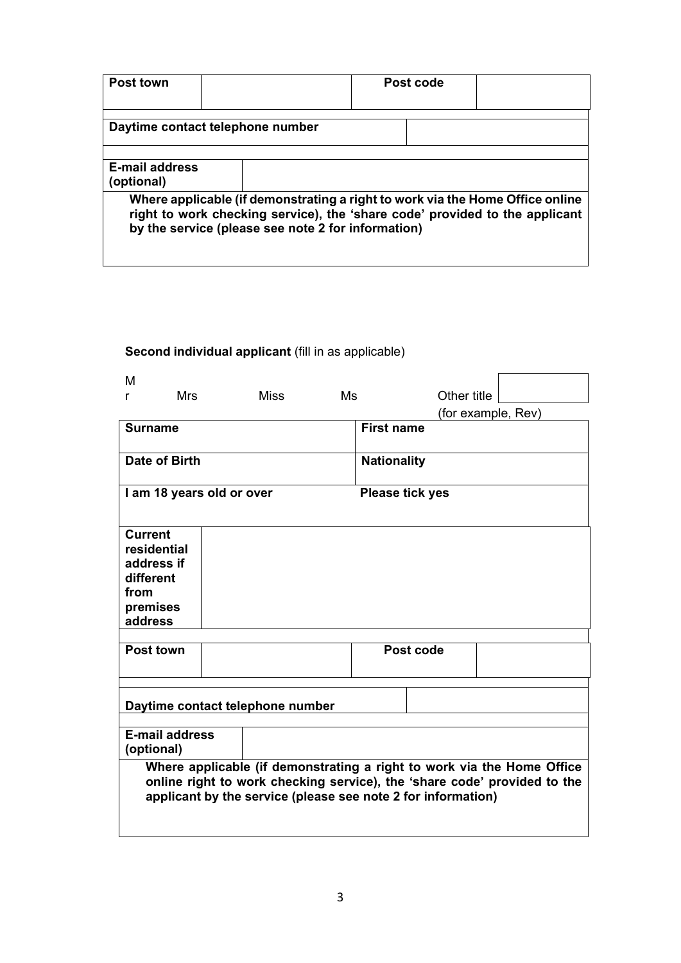| Post town                                                                                                                                                                                                          |  |  |  | Post code |  |
|--------------------------------------------------------------------------------------------------------------------------------------------------------------------------------------------------------------------|--|--|--|-----------|--|
| Daytime contact telephone number                                                                                                                                                                                   |  |  |  |           |  |
| <b>E-mail address</b><br>(optional)                                                                                                                                                                                |  |  |  |           |  |
| Where applicable (if demonstrating a right to work via the Home Office online<br>right to work checking service), the 'share code' provided to the applicant<br>by the service (please see note 2 for information) |  |  |  |           |  |

# Second individual applicant (fill in as applicable)

| м                                                                                                                                                                                                                  |                                                     |      |    |                    |                    |  |
|--------------------------------------------------------------------------------------------------------------------------------------------------------------------------------------------------------------------|-----------------------------------------------------|------|----|--------------------|--------------------|--|
| <b>Mrs</b><br>r                                                                                                                                                                                                    |                                                     | Miss | Ms |                    | Other title        |  |
|                                                                                                                                                                                                                    |                                                     |      |    |                    | (for example, Rev) |  |
| <b>Surname</b>                                                                                                                                                                                                     |                                                     |      |    | <b>First name</b>  |                    |  |
| Date of Birth                                                                                                                                                                                                      |                                                     |      |    | <b>Nationality</b> |                    |  |
|                                                                                                                                                                                                                    | I am 18 years old or over<br><b>Please tick yes</b> |      |    |                    |                    |  |
| <b>Current</b><br>residential<br>address if<br>different<br>from<br>premises<br>address                                                                                                                            |                                                     |      |    |                    |                    |  |
| Post town                                                                                                                                                                                                          |                                                     |      |    | Post code          |                    |  |
|                                                                                                                                                                                                                    |                                                     |      |    |                    |                    |  |
| Daytime contact telephone number                                                                                                                                                                                   |                                                     |      |    |                    |                    |  |
| <b>E-mail address</b><br>(optional)                                                                                                                                                                                |                                                     |      |    |                    |                    |  |
| Where applicable (if demonstrating a right to work via the Home Office<br>online right to work checking service), the 'share code' provided to the<br>applicant by the service (please see note 2 for information) |                                                     |      |    |                    |                    |  |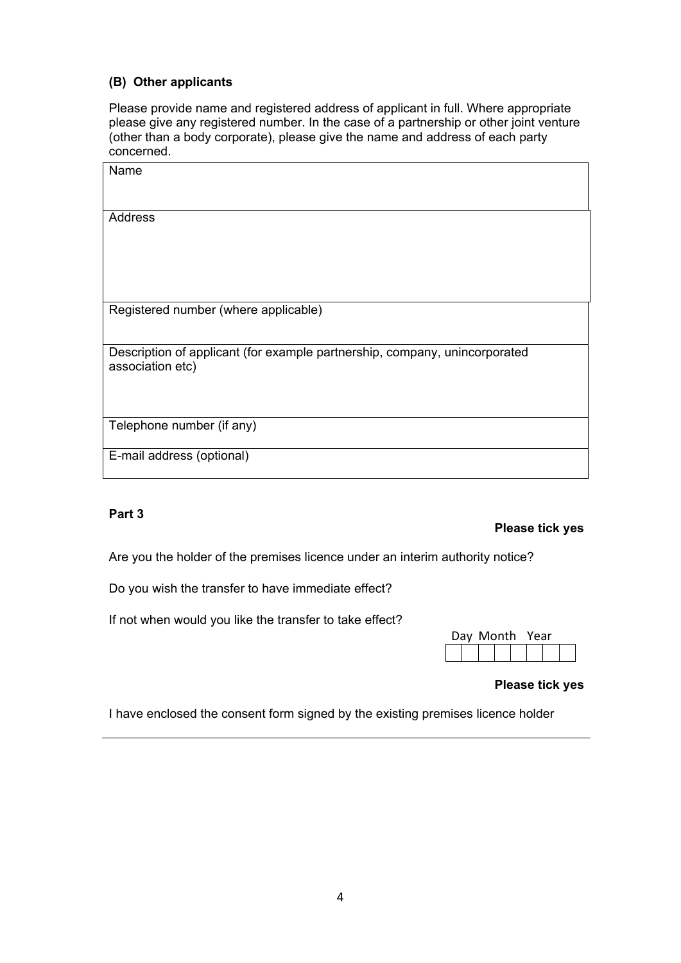# **(B) Other applicants**

Please provide name and registered address of applicant in full. Where appropriate please give any registered number. In the case of a partnership or other joint venture (other than a body corporate), please give the name and address of each party concerned.

| Name                                                                                           |
|------------------------------------------------------------------------------------------------|
| Address                                                                                        |
| Registered number (where applicable)                                                           |
| Description of applicant (for example partnership, company, unincorporated<br>association etc) |
| Telephone number (if any)                                                                      |
| E-mail address (optional)                                                                      |

## **Part 3**

#### **Please tick yes**

Are you the holder of the premises licence under an interim authority notice?

Do you wish the transfer to have immediate effect?

If not when would you like the transfer to take effect?

| Day Month Year |  |  |  |  |  |
|----------------|--|--|--|--|--|
|                |  |  |  |  |  |

# **Please tick yes**

I have enclosed the consent form signed by the existing premises licence holder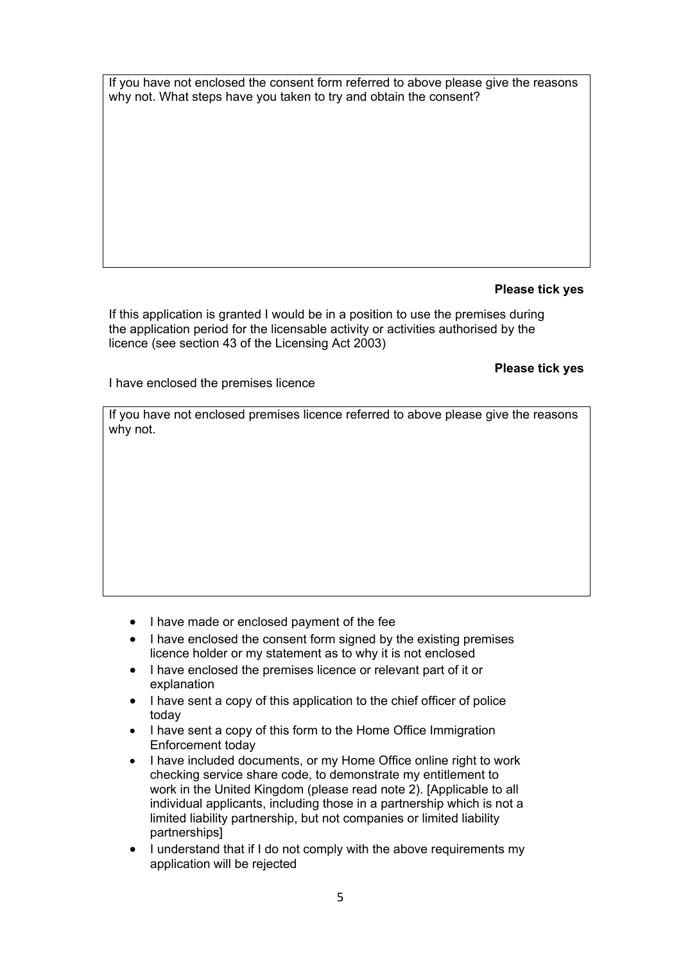If you have not enclosed the consent form referred to above please give the reasons why not. What steps have you taken to try and obtain the consent?

### **Please tick yes**

If this application is granted I would be in a position to use the premises during the application period for the licensable activity or activities authorised by the licence (see section 43 of the Licensing Act 2003)

#### **Please tick yes**

I have enclosed the premises licence

If you have not enclosed premises licence referred to above please give the reasons why not.

- I have made or enclosed payment of the fee
- I have enclosed the consent form signed by the existing premises licence holder or my statement as to why it is not enclosed
- I have enclosed the premises licence or relevant part of it or explanation
- I have sent a copy of this application to the chief officer of police today
- I have sent a copy of this form to the Home Office Immigration Enforcement today
- I have included documents, or my Home Office online right to work checking service share code, to demonstrate my entitlement to work in the United Kingdom (please read note 2). [Applicable to all individual applicants, including those in a partnership which is not a limited liability partnership, but not companies or limited liability partnerships]
- I understand that if I do not comply with the above requirements my application will be rejected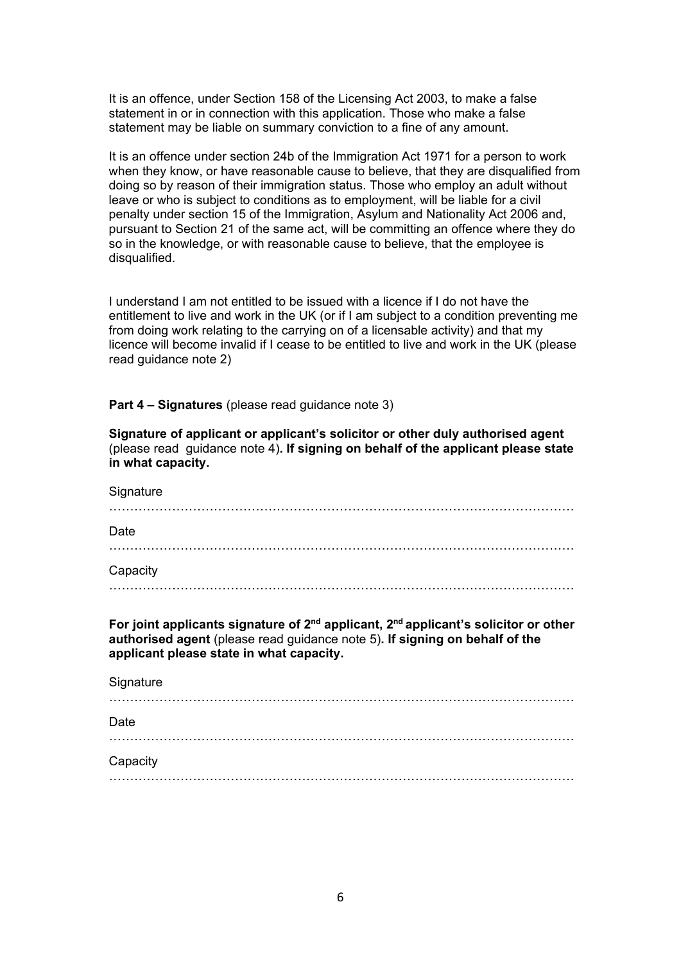It is an offence, under Section 158 of the Licensing Act 2003, to make a false statement in or in connection with this application. Those who make a false statement may be liable on summary conviction to a fine of any amount.

It is an offence under section 24b of the Immigration Act 1971 for a person to work when they know, or have reasonable cause to believe, that they are disqualified from doing so by reason of their immigration status. Those who employ an adult without leave or who is subject to conditions as to employment, will be liable for a civil penalty under section 15 of the Immigration, Asylum and Nationality Act 2006 and, pursuant to Section 21 of the same act, will be committing an offence where they do so in the knowledge, or with reasonable cause to believe, that the employee is disqualified.

I understand I am not entitled to be issued with a licence if I do not have the entitlement to live and work in the UK (or if I am subject to a condition preventing me from doing work relating to the carrying on of a licensable activity) and that my licence will become invalid if I cease to be entitled to live and work in the UK (please read guidance note 2)

**Part 4 – Signatures** (please read guidance note 3)

**Signature of applicant or applicant's solicitor or other duly authorised agent**  (please read guidance note 4)**. If signing on behalf of the applicant please state in what capacity.** 

| Signature |   |
|-----------|---|
| Date      |   |
|           | . |
| Capacity  |   |
|           |   |

**For joint applicants signature of 2nd applicant, 2nd applicant's solicitor or other authorised agent** (please read guidance note 5)**. If signing on behalf of the applicant please state in what capacity.** 

| Signature |  |
|-----------|--|
| Date      |  |
| Capacity  |  |
|           |  |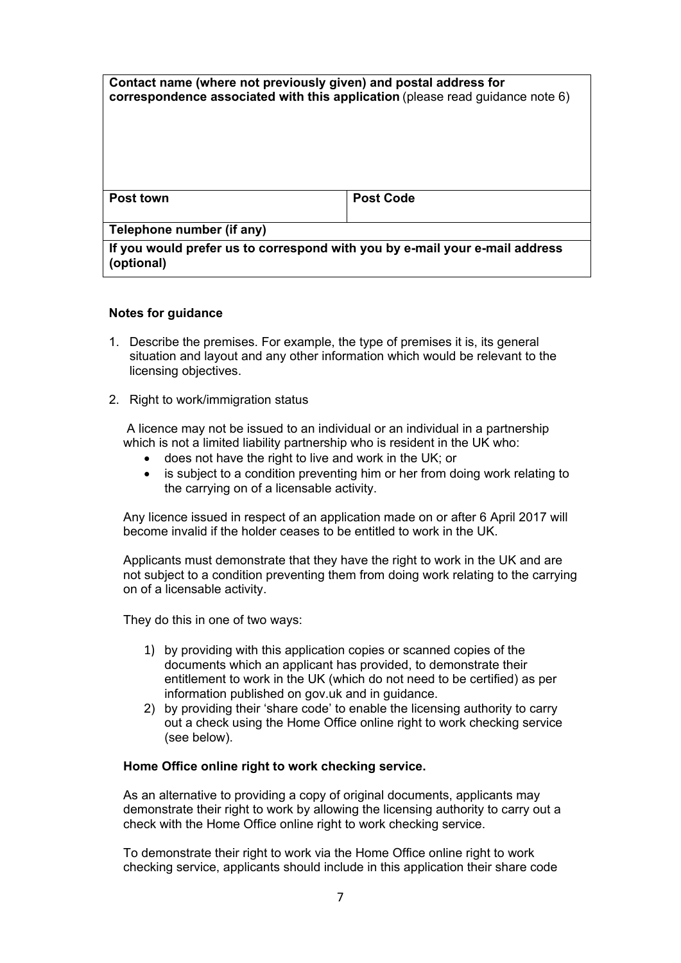| Contact name (where not previously given) and postal address for<br>correspondence associated with this application (please read guidance note $6$ ) |                  |
|------------------------------------------------------------------------------------------------------------------------------------------------------|------------------|
| <b>Post town</b>                                                                                                                                     | <b>Post Code</b> |
| Telephone number (if any)                                                                                                                            |                  |
| If you would prefer us to correspond with you by e-mail your e-mail address<br>(optional)                                                            |                  |

#### **Notes for guidance**

- licensing objectives. 1. Describe the premises. For example, the type of premises it is, its general situation and layout and any other information which would be relevant to the
- 2. Right to work/immigration status

 A licence may not be issued to an individual or an individual in a partnership which is not a limited liability partnership who is resident in the UK who:

- does not have the right to live and work in the UK; or
- is subject to a condition preventing him or her from doing work relating to the carrying on of a licensable activity.

Any licence issued in respect of an application made on or after 6 April 2017 will become invalid if the holder ceases to be entitled to work in the UK.

Applicants must demonstrate that they have the right to work in the UK and are not subject to a condition preventing them from doing work relating to the carrying on of a licensable activity.

They do this in one of two ways:

- 1) by providing with this application copies or scanned copies of the documents which an applicant has provided, to demonstrate their entitlement to work in the UK (which do not need to be certified) as per information published on gov.uk and in guidance.
- 2) by providing their 'share code' to enable the licensing authority to carry out a check using the Home Office online right to work checking service (see below).

#### **Home Office online right to work checking service.**

As an alternative to providing a copy of original documents, applicants may demonstrate their right to work by allowing the licensing authority to carry out a check with the Home Office online right to work checking service.

To demonstrate their right to work via the Home Office online right to work checking service, applicants should include in this application their share code